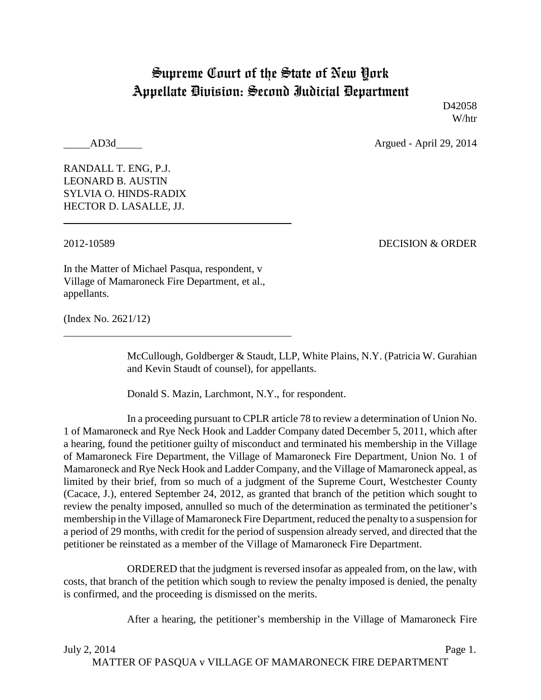## Supreme Court of the State of New York Appellate Division: Second Judicial Department

D<sub>42058</sub> W/htr

AD3d Argued - April 29, 2014

RANDALL T. ENG, P.J. LEONARD B. AUSTIN SYLVIA O. HINDS-RADIX HECTOR D. LASALLE, JJ.

2012-10589 DECISION & ORDER

In the Matter of Michael Pasqua, respondent, v Village of Mamaroneck Fire Department, et al., appellants.

(Index No. 2621/12)

McCullough, Goldberger & Staudt, LLP, White Plains, N.Y. (Patricia W. Gurahian and Kevin Staudt of counsel), for appellants.

Donald S. Mazin, Larchmont, N.Y., for respondent.

In a proceeding pursuant to CPLR article 78 to review a determination of Union No. 1 of Mamaroneck and Rye Neck Hook and Ladder Company dated December 5, 2011, which after a hearing, found the petitioner guilty of misconduct and terminated his membership in the Village of Mamaroneck Fire Department, the Village of Mamaroneck Fire Department, Union No. 1 of Mamaroneck and Rye Neck Hook and Ladder Company, and the Village of Mamaroneck appeal, as limited by their brief, from so much of a judgment of the Supreme Court, Westchester County (Cacace, J.), entered September 24, 2012, as granted that branch of the petition which sought to review the penalty imposed, annulled so much of the determination as terminated the petitioner's membership in the Village of Mamaroneck Fire Department, reduced the penalty to a suspension for a period of 29 months, with credit for the period of suspension already served, and directed that the petitioner be reinstated as a member of the Village of Mamaroneck Fire Department.

ORDERED that the judgment is reversed insofar as appealed from, on the law, with costs, that branch of the petition which sough to review the penalty imposed is denied, the penalty is confirmed, and the proceeding is dismissed on the merits.

After a hearing, the petitioner's membership in the Village of Mamaroneck Fire